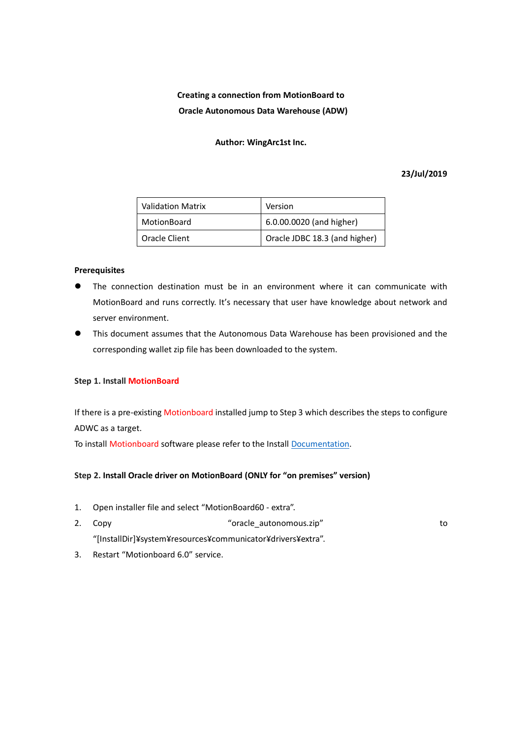# **Creating a connection from MotionBoard to Oracle Autonomous Data Warehouse (ADW)**

#### **Author: WingArc1st Inc.**

## **23/Jul/2019**

| <b>Validation Matrix</b> | Version                       |
|--------------------------|-------------------------------|
| MotionBoard              | 6.0.00.0020 (and higher)      |
| Oracle Client            | Oracle JDBC 18.3 (and higher) |

#### **Prerequisites**

- ⚫ The connection destination must be in an environment where it can communicate with MotionBoard and runs correctly. It's necessary that user have knowledge about network and server environment.
- ⚫ This document assumes that the Autonomous Data Warehouse has been provisioned and the corresponding wallet zip file has been downloaded to the system.

#### **Step 1. Install MotionBoard**

If there is a pre-existing Motionboard installed jump to Step 3 which describes the steps to configure ADWC as a target.

To install Motionboard software please refer to the Install [Documentation.](https://manual.wingarc-support.com/en-us/manual/mb/mb60/)

## **Step 2. Install Oracle driver on MotionBoard (ONLY for "on premises" version)**

- 1. Open installer file and select "MotionBoard60 extra".
- 2. Copy contract to the contract of the contract of the contract of the contract of to to to to to to to to to "[InstallDir]¥system¥resources¥communicator¥drivers¥extra".
- 3. Restart "Motionboard 6.0" service.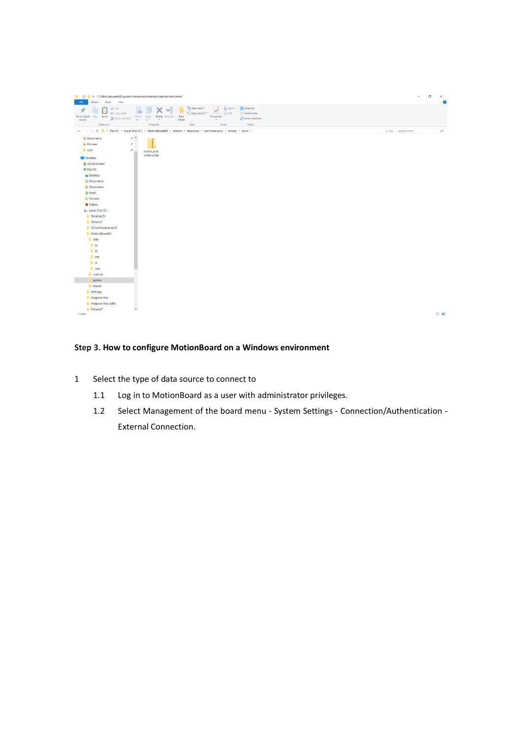

## **Step 3. How to configure MotionBoard on a Windows environment**

- 1 Select the type of data source to connect to
	- 1.1 Log in to MotionBoard as a user with administrator privileges.
	- 1.2 Select Management of the board menu System Settings Connection/Authentication External Connection.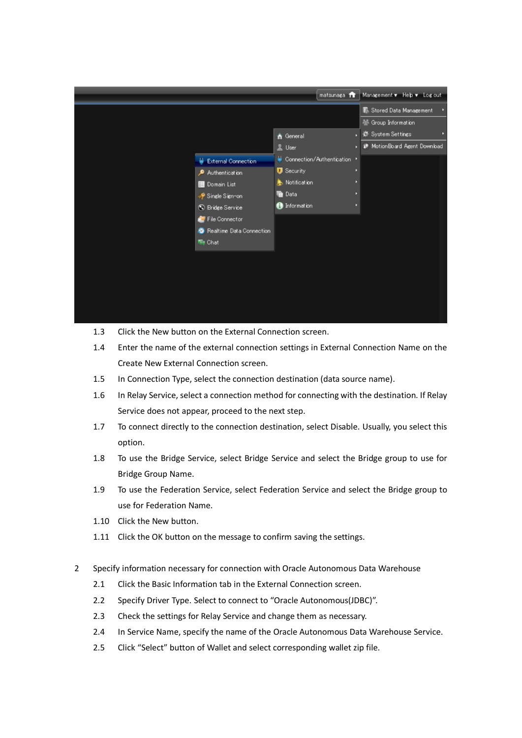

- 1.3 Click the New button on the External Connection screen.
- 1.4 Enter the name of the external connection settings in External Connection Name on the Create New External Connection screen.
- 1.5 In Connection Type, select the connection destination (data source name).
- 1.6 In Relay Service, select a connection method for connecting with the destination. If Relay Service does not appear, proceed to the next step.
- 1.7 To connect directly to the connection destination, select Disable. Usually, you select this option.
- 1.8 To use the Bridge Service, select Bridge Service and select the Bridge group to use for Bridge Group Name.
- 1.9 To use the Federation Service, select Federation Service and select the Bridge group to use for Federation Name.
- 1.10 Click the New button.
- 1.11 Click the OK button on the message to confirm saving the settings.
- 2 Specify information necessary for connection with Oracle Autonomous Data Warehouse
	- 2.1 Click the Basic Information tab in the External Connection screen.
	- 2.2 Specify Driver Type. Select to connect to "Oracle Autonomous(JDBC)".
	- 2.3 Check the settings for Relay Service and change them as necessary.
	- 2.4 In Service Name, specify the name of the Oracle Autonomous Data Warehouse Service.
	- 2.5 Click "Select" button of Wallet and select corresponding wallet zip file.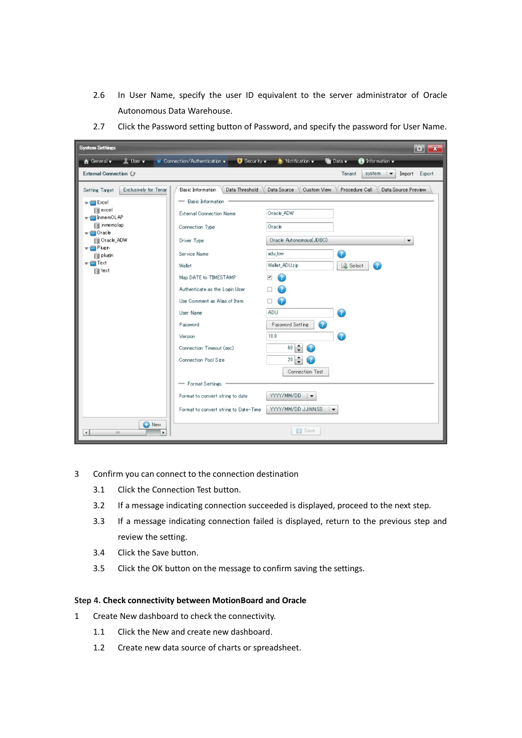- 2.6 In User Name, specify the user ID equivalent to the server administrator of Oracle Autonomous Data Warehouse.
- 2.7 Click the Password setting button of Password, and specify the password for User Name.

| <b>System Settings</b>                                                                                                                                                                                                                                            |                                                                                                                                                                                                                                                                                                                                                                                                                                                |                                                                                                                                                                                                                                                                                                              |                                                             |                                | $\Box$ $\mathbf{X}$                         |
|-------------------------------------------------------------------------------------------------------------------------------------------------------------------------------------------------------------------------------------------------------------------|------------------------------------------------------------------------------------------------------------------------------------------------------------------------------------------------------------------------------------------------------------------------------------------------------------------------------------------------------------------------------------------------------------------------------------------------|--------------------------------------------------------------------------------------------------------------------------------------------------------------------------------------------------------------------------------------------------------------------------------------------------------------|-------------------------------------------------------------|--------------------------------|---------------------------------------------|
| <b>L</b> User <b>v</b><br>General v                                                                                                                                                                                                                               | $\bullet$ Connection/Authentication $\bullet$<br>$\Box$ Security $\blacktriangledown$                                                                                                                                                                                                                                                                                                                                                          | Notification v                                                                                                                                                                                                                                                                                               | <b>To</b> Data v                                            | formation v                    |                                             |
| External Connection (                                                                                                                                                                                                                                             |                                                                                                                                                                                                                                                                                                                                                                                                                                                |                                                                                                                                                                                                                                                                                                              | Tenant                                                      | system<br>$\blacktriangledown$ | Import<br>Export                            |
| Exclusively for Tenar<br><b>Setting Target</b><br>$\overline{\phantom{a}}$ Excel<br>excel<br>▼ InmemOLAP<br>inmemolap<br>$\blacktriangledown$ Oracle<br>Oracle_ADW<br>$\overline{\phantom{a}}$ Plusin<br>plugin<br>$\blacktriangledown$ Text<br>$\mathbf{r}$ text | Basic Information<br>Data Threshold<br>- Basic Information<br><b>External Connection Name</b><br>Connection Type<br>Driver Type<br>Service Name<br>Wallet<br>Map DATE to TIMESTAMP<br>Authenticate as the Login User<br>Use Comment as Alias of Item<br>User Name<br>Password<br>Version<br>Connection Timeout (sec)<br>Connection Pool Size<br>- Format Settings<br>Format to convert string to date<br>Format to convert string to Date-Time | Data Source<br>Custom View<br>Oracle_ADW<br>Oracle<br>Oracle Autonomous(JDBC)<br>adu low<br>Wallet_ADUzip<br>œ<br>7<br>7<br>ADU<br>Password Setting<br>18.0<br>$60 \frac{1}{7}$<br>7<br>$20 \div$<br>Connection Test<br>YYYY/MM/DD<br>$\blacktriangledown$<br>YYYY/MM/DD JJ:NNSS<br>$\overline{\phantom{a}}$ | Procedure Call<br>$\boldsymbol{\Omega}$<br>Select<br>Ð<br>Œ |                                | Data Source Preview<br>$\blacktriangledown$ |
| <b>O</b> New<br>$\left  \cdot \right $<br>ш<br>٠                                                                                                                                                                                                                  |                                                                                                                                                                                                                                                                                                                                                                                                                                                | Save                                                                                                                                                                                                                                                                                                         |                                                             |                                |                                             |

- 3 Confirm you can connect to the connection destination
	- 3.1 Click the Connection Test button.
	- 3.2 If a message indicating connection succeeded is displayed, proceed to the next step.
	- 3.3 If a message indicating connection failed is displayed, return to the previous step and review the setting.
	- 3.4 Click the Save button.
	- 3.5 Click the OK button on the message to confirm saving the settings.

## **Step 4. Check connectivity between MotionBoard and Oracle**

- 1 Create New dashboard to check the connectivity.
	- 1.1 Click the New and create new dashboard.
	- 1.2 Create new data source of charts or spreadsheet.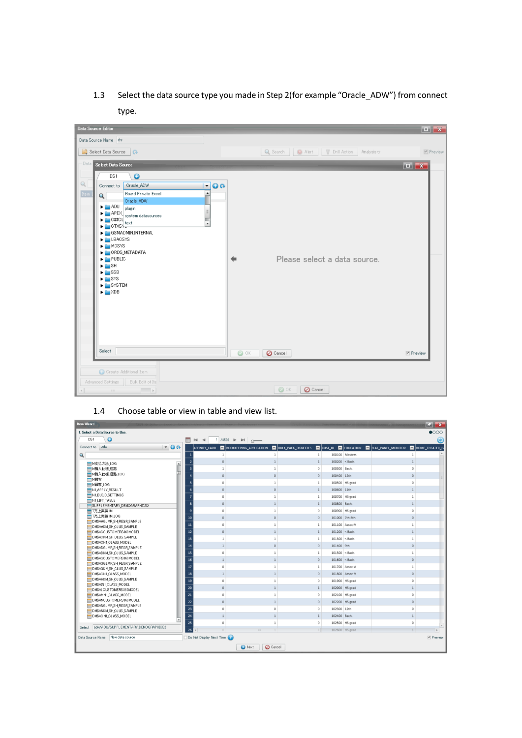1.3 Select the data source type you made in Step 2(for example "Oracle\_ADW") from connect type.

| Data Source Editor                                                                                                              |                                                                |             |
|---------------------------------------------------------------------------------------------------------------------------------|----------------------------------------------------------------|-------------|
| Data Source Name ds                                                                                                             |                                                                |             |
| Select Data Source                                                                                                              | Q Search   C Alert   V Drill Action   Analysis $\triangledown$ | $P$ review  |
| Data Select Data Source                                                                                                         |                                                                |             |
| $\bullet$<br>DS1                                                                                                                |                                                                |             |
| $\mathbb{Q}$<br>Oracle_ADW<br>$Q_0$<br>Connect to<br>$\blacktriangledown$                                                       |                                                                |             |
| Item<br>Board Private Excel<br>$\overline{\phantom{a}}$<br>$\overline{\mathbf{Q}}$<br>Or acle_ADW                               |                                                                |             |
| $\blacktriangleright$ $\blacksquare$ ADU<br>plugin<br>E                                                                         |                                                                |             |
| APEX system datasources<br>▶<br>DE C##CL<br>DE CTXSY<br>Ţ                                                                       |                                                                |             |
| GSMADMIN_INTERNAL                                                                                                               |                                                                |             |
| <b>ELBACSYS</b>                                                                                                                 |                                                                |             |
| MDSYS<br>ORDS_METADATA                                                                                                          |                                                                |             |
| $\blacktriangleright$ $\blacksquare$ PUBLIC<br>$\blacktriangleright$ $\blacksquare$ SH                                          | Please select a data source.                                   |             |
| $\blacktriangleright$ $\blacksquare$ SSB                                                                                        |                                                                |             |
| $\blacktriangleright$ $\blacksquare$ SYS<br>SYSTEM                                                                              |                                                                |             |
| $\blacktriangleright$ $\blacktriangleright$ XDB                                                                                 |                                                                |             |
|                                                                                                                                 |                                                                |             |
|                                                                                                                                 |                                                                |             |
|                                                                                                                                 |                                                                |             |
|                                                                                                                                 |                                                                |             |
| Select                                                                                                                          | $\odot$ OK<br><b>O</b> Cancel                                  | $P$ Preview |
|                                                                                                                                 |                                                                |             |
| C Create Additional Item                                                                                                        |                                                                |             |
| Advanced Settings<br>Buk Edit of Ite                                                                                            |                                                                |             |
| <br>$\begin{array}{c c} \hline \textbf{a} & \textbf{b} & \textbf{c} \\ \hline \textbf{b} & \textbf{c} & \textbf{c} \end{array}$ | $\odot$ OK<br><b>O</b> Cancel                                  |             |

## 1.4 Choose table or view in table and view list.

| <b>Rem Wizard</b>                                               |                  |                            |                                                                            |                                                                                                        |                                                                                  |                |              | $F = \mathbf{X}$         |
|-----------------------------------------------------------------|------------------|----------------------------|----------------------------------------------------------------------------|--------------------------------------------------------------------------------------------------------|----------------------------------------------------------------------------------|----------------|--------------|--------------------------|
| 1. Select a Data Source to Use.                                 |                  |                            |                                                                            |                                                                                                        |                                                                                  |                |              | $\bullet$ 000            |
| $\Omega$<br>DS1                                                 |                  | ⊞ ⊠ ∢                      | $1/4500$ $\blacktriangleright$ $\blacktriangleright$ $\blacktriangleright$ |                                                                                                        |                                                                                  |                |              | Ю                        |
| adw<br>Connect to                                               | $\blacksquare$   | AFFINITY_CARD              |                                                                            | <b>DE BOOKKEEPING APPLICATION DE BULK PACK DISKETTES DE CUST ID DE EDUCATION DE FLAT PANEL MONITOR</b> |                                                                                  |                |              | <b>E HOME THEATER P.</b> |
| Q                                                               |                  |                            | 1                                                                          | $\mathbf{1}$                                                                                           |                                                                                  | 100100 Masters |              |                          |
| <b>■ M支払方法 LOG</b>                                              | $\blacktriangle$ | $\overline{2}$<br>$\Omega$ |                                                                            | $\mathbf{1}$                                                                                           | $100200 <$ < Bach.                                                               |                |              |                          |
| Ⅲ M橘入動機 経路                                                      |                  | $\overline{\mathbf{3}}$    |                                                                            | $\Omega$                                                                                               | 100300 Bach.                                                                     |                |              |                          |
| <b>Ⅲ M精入動機 経路 LOG</b>                                           |                  | $\mathbf{0}$               | $\circ$                                                                    | $\mathbf{0}$                                                                                           | 100400 12th                                                                      |                | $\Omega$     |                          |
| <b>THE MEDIA</b>                                                |                  | $\Omega$                   | $\mathbf{1}$                                                               | $\mathbf{1}$                                                                                           |                                                                                  | 100500 HS-grad | $\circ$      |                          |
| <b>HIM顧客_LOG</b><br>N1_APPLY_RESULT                             |                  | 6<br>$\Omega$              | $\circ$                                                                    | $\mathbf{1}$                                                                                           | 100600 11th                                                                      |                |              |                          |
| <b>MINIBUILD SETTINGS</b>                                       |                  | $\overline{7}$<br>$\Omega$ | $\mathbf{1}$                                                               | $\mathbf{1}$                                                                                           |                                                                                  | 100700 HS-grad |              |                          |
| N1_LIFT_TABLE                                                   |                  |                            |                                                                            |                                                                                                        |                                                                                  |                |              |                          |
| SUPPLEMENTARY_DEMOGRAPHICS2                                     |                  | 8<br>$\Omega$              | $\mathbf{1}$                                                               | $\mathbf{1}$                                                                                           | 100800 Bach.                                                                     |                |              |                          |
| <b>■T売上実績1M</b>                                                 |                  | $\overline{9}$<br>$\Omega$ | $\mathbf{1}$                                                               | $\Omega$                                                                                               |                                                                                  | 100900 HS-grad | $\Omega$     |                          |
| <b>■ 『売上実績1M_LOG</b><br><b>EI DM\$VAGLMR SH REGR SAMPLE</b>     |                  | ${\bf 10}$<br>$\circ$      | $\circ$                                                                    | $\circ$                                                                                                | 101000 7th-8th                                                                   |                | $\circ$      |                          |
| DM\$VAKM_SH_CLUS_SAMPLE                                         |                  | 11<br>$\circ$              | $\mathbf{1}$                                                               | $\mathbf{1}$                                                                                           |                                                                                  | 101100 Assoc-V |              |                          |
| <b>EH DM\$VCCUSTOMERS360MODEL</b>                               |                  | 12<br>$\theta$             | $\overline{1}$                                                             | $\mathbf{1}$                                                                                           | 101200 < Bach                                                                    |                |              |                          |
| <b>EDM\$VCKM SH CLUS SAMPLE</b>                                 |                  | 13                         | $\mathbf{1}$                                                               | $\mathbf{1}$                                                                                           | 101300 <bach.< td=""><td></td><td><math>\mathbf{1}</math></td><td></td></bach.<> |                | $\mathbf{1}$ |                          |
| <b>EH DM\$VCN1_CLASS_MODEL</b><br>DM\$VDGLMRSHREGRSAMPLE        |                  | 14<br>$\mathbf{1}$         | $\circ$                                                                    | $\mathbf{0}$                                                                                           | 101400 9th                                                                       |                | $\mathbf{0}$ |                          |
| <b>EDM\$VDKM SH CLUSSAMPLE</b>                                  |                  | 15<br>$\mathbf{0}$         | $\mathbf{1}$                                                               | $\mathbf{1}$                                                                                           | 101500 < Bach                                                                    |                |              |                          |
| Find DM\$VGCUSTO MERS360MODEL                                   |                  | 16                         | $\mathbf{1}$                                                               | $\mathbf{0}$                                                                                           | $101600 <$ $\leq$ Bach.                                                          |                | $\Omega$     |                          |
| DM\$VGGLMRSH_REGRSAMPLE                                         |                  | 17<br>$\Omega$             | $\mathbf{1}$                                                               | $\mathbf{1}$                                                                                           |                                                                                  | 101700 Assoc-A | $\mathbf{1}$ |                          |
| <b>MSVGKMSH CLUS SAMPLE</b>                                     |                  |                            |                                                                            |                                                                                                        |                                                                                  |                |              |                          |
| <b>EE DM\$VGN1_CLASS_MODEL</b><br><b>BOM\$VHKM SHCLUSSAMPLE</b> |                  | 18                         | $\mathbf{1}$                                                               | $\mathbf{0}$                                                                                           |                                                                                  | 101800 Assoc-V | $\mathbf{0}$ |                          |
| <b>MINIMAL CLASS MODEL</b>                                      |                  | 19<br>$\Omega$             | $\mathbf{1}$                                                               | $\circ$                                                                                                |                                                                                  | 101900 HS-grad | $\Omega$     |                          |
| <b>THE DM\$VLCUSTOMERS 360MODEL</b>                             |                  | 20<br>$\circ$              | $\mathbf{1}$                                                               | 1                                                                                                      |                                                                                  | 102000 HS-grad |              |                          |
| DM\$VMN1_CLASS_MODEL                                            |                  | 21<br>$\circ$              | $\mathbf{1}$                                                               | $\circ$                                                                                                |                                                                                  | 102100 HS-grad | $\circ$      |                          |
| mil DM\$VNCUSTOMERS360MODEL                                     |                  | 22<br>$\Omega$             | $\mathbf{1}$                                                               | $\circ$                                                                                                |                                                                                  | 102200 HS-grad | $\circ$      |                          |
| <b>MINOMSVNGLMRSH REGRSAMPLE</b><br>DM\$VNKM SHCLUS SAMPLE      |                  | 23<br>$\Omega$             | 0                                                                          | $\Omega$                                                                                               | 102300 12th                                                                      |                | $\Omega$     |                          |
| DM\$VON1_CLASS_MODEL                                            |                  | 24<br>$\mathbf{1}$         | $\mathbf{1}$                                                               | 1                                                                                                      | 102400 Bach.                                                                     |                | $\mathbf{1}$ |                          |
|                                                                 |                  | 25<br>$\Omega$             | $\mathbf{1}$                                                               | $\circ$                                                                                                |                                                                                  | 102500 HS-grad | $\circ$      |                          |
| adw/ADU/SUPPLEMENTARY_DEMOGRAPHICS2<br>Select                   |                  | 26<br>$\sqrt{2}$           | $\overline{1}$<br>$\overline{a}$                                           | 1                                                                                                      |                                                                                  | 102600 HS-grad |              | $\mu$                    |
| Data Source Name New data source                                |                  | Do Not Display Next Time   |                                                                            |                                                                                                        |                                                                                  |                |              | Preview                  |
|                                                                 |                  |                            |                                                                            |                                                                                                        |                                                                                  |                |              |                          |
|                                                                 |                  |                            | <b>O</b> Cancel<br>Next                                                    |                                                                                                        |                                                                                  |                |              |                          |